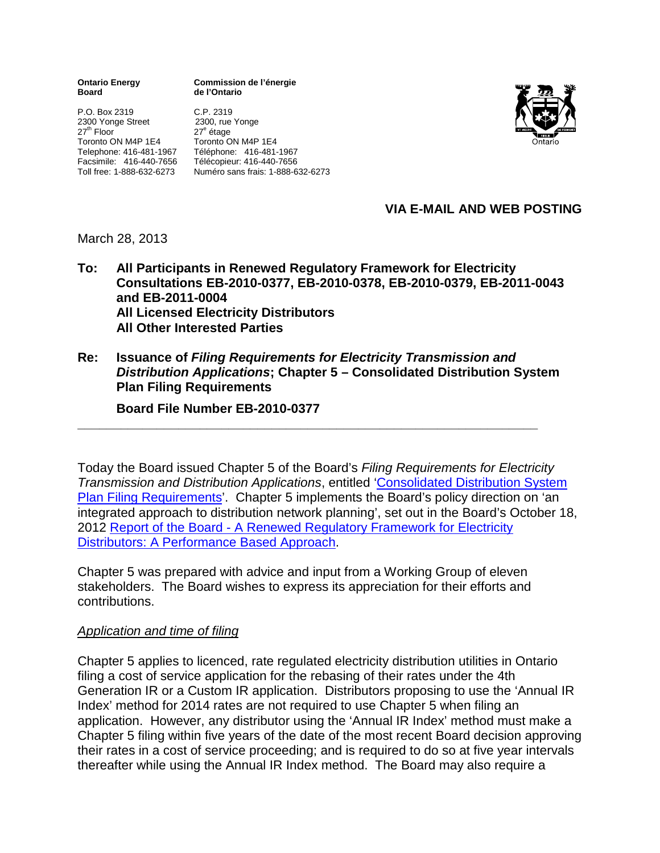**Ontario Energy Commission de l'énergie Board de l'Ontario**

P.O. Box 2319 C.P. 2319 2300 Yonge Street<br>27<sup>th</sup> Floor Toronto ON M4P 1E4

27<sup>e</sup> étage<br>Toronto ON M4P 1E4 Telephone: 416-481-1967 Téléphone: 416-481-1967 Facsimile: 416-440-7656 Télécopieur: 416-440-7656 Toll free: 1-888-632-6273 Numéro sans frais: 1-888-632-6273



## **VIA E-MAIL AND WEB POSTING**

March 28, 2013

- **To: All Participants in Renewed Regulatory Framework for Electricity Consultations EB-2010-0377, EB-2010-0378, EB-2010-0379, EB-2011-0043 and EB-2011-0004 All Licensed Electricity Distributors All Other Interested Parties**
- **Re: Issuance of** *Filing Requirements for Electricity Transmission and Distribution Applications***; Chapter 5 – Consolidated Distribution System Plan Filing Requirements**

**\_\_\_\_\_\_\_\_\_\_\_\_\_\_\_\_\_\_\_\_\_\_\_\_\_\_\_\_\_\_\_\_\_\_\_\_\_\_\_\_\_\_\_\_\_\_\_\_\_\_\_\_\_\_\_\_\_\_\_\_\_\_\_\_**

**Board File Number EB-2010-0377**

Today the Board issued Chapter 5 of the Board's *Filing Requirements for Electricity Transmission and Distribution Applications*, entitled ['Consolidated Distribution System](http://www.ontarioenergyboard.ca/OEB/_Documents/Regulatory/Filing_Requirements_Tx_Dx_Applications_Ch5.pdf)  [Plan Filing Requirements'](http://www.ontarioenergyboard.ca/OEB/_Documents/Regulatory/Filing_Requirements_Tx_Dx_Applications_Ch5.pdf). Chapter 5 implements the Board's policy direction on 'an integrated approach to distribution network planning', set out in the Board's October 18, 2012 Report of the Board - [A Renewed Regulatory Framework for Electricity](http://www.ontarioenergyboard.ca/OEB/_Documents/Documents/Report_Renewed_Regulatory_Framework_RRFE_20121018.pdf)  [Distributors: A Performance Based Approach.](http://www.ontarioenergyboard.ca/OEB/_Documents/Documents/Report_Renewed_Regulatory_Framework_RRFE_20121018.pdf)

Chapter 5 was prepared with advice and input from a Working Group of eleven stakeholders. The Board wishes to express its appreciation for their efforts and contributions.

### *Application and time of filing*

Chapter 5 applies to licenced, rate regulated electricity distribution utilities in Ontario filing a cost of service application for the rebasing of their rates under the 4th Generation IR or a Custom IR application. Distributors proposing to use the 'Annual IR Index' method for 2014 rates are not required to use Chapter 5 when filing an application. However, any distributor using the 'Annual IR Index' method must make a Chapter 5 filing within five years of the date of the most recent Board decision approving their rates in a cost of service proceeding; and is required to do so at five year intervals thereafter while using the Annual IR Index method. The Board may also require a